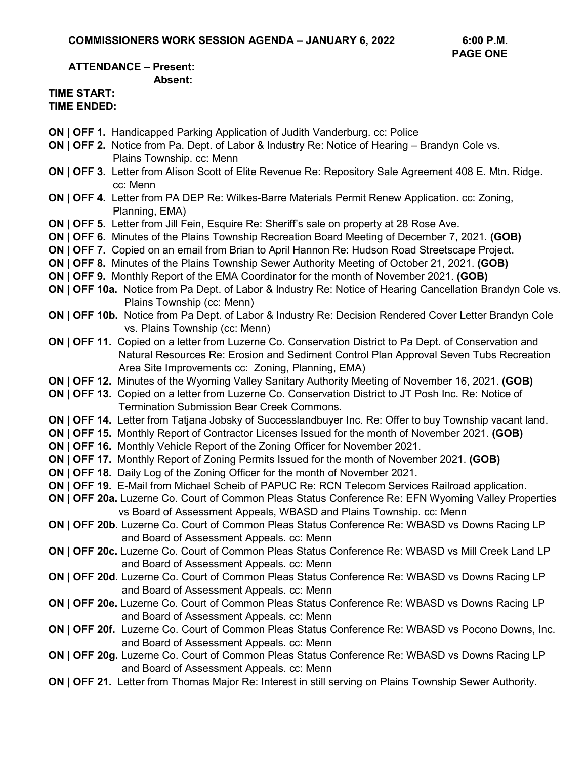#### **ATTENDANCE – Present: Absent:**

#### **TIME START: TIME ENDED:**

- **ON | OFF 1.** Handicapped Parking Application of Judith Vanderburg. cc: Police
- **ON | OFF 2.** Notice from Pa. Dept. of Labor & Industry Re: Notice of Hearing Brandyn Cole vs. Plains Township. cc: Menn
- **ON | OFF 3.** Letter from Alison Scott of Elite Revenue Re: Repository Sale Agreement 408 E. Mtn. Ridge. cc: Menn
- **ON | OFF 4.** Letter from PA DEP Re: Wilkes-Barre Materials Permit Renew Application. cc: Zoning, Planning, EMA)
- **ON | OFF 5.** Letter from Jill Fein, Esquire Re: Sheriff's sale on property at 28 Rose Ave.
- **ON | OFF 6.** Minutes of the Plains Township Recreation Board Meeting of December 7, 2021. **(GOB)**
- **ON | OFF 7.** Copied on an email from Brian to April Hannon Re: Hudson Road Streetscape Project.
- **ON | OFF 8.** Minutes of the Plains Township Sewer Authority Meeting of October 21, 2021. **(GOB)**
- **ON | OFF 9.** Monthly Report of the EMA Coordinator for the month of November 2021. **(GOB)**
- **ON | OFF 10a.** Notice from Pa Dept. of Labor & Industry Re: Notice of Hearing Cancellation Brandyn Cole vs. Plains Township (cc: Menn)
- **ON | OFF 10b.** Notice from Pa Dept. of Labor & Industry Re: Decision Rendered Cover Letter Brandyn Cole vs. Plains Township (cc: Menn)
- **ON | OFF 11.** Copied on a letter from Luzerne Co. Conservation District to Pa Dept. of Conservation and Natural Resources Re: Erosion and Sediment Control Plan Approval Seven Tubs Recreation Area Site Improvements cc: Zoning, Planning, EMA)
- **ON | OFF 12.** Minutes of the Wyoming Valley Sanitary Authority Meeting of November 16, 2021. **(GOB)**
- **ON | OFF 13.** Copied on a letter from Luzerne Co. Conservation District to JT Posh Inc. Re: Notice of Termination Submission Bear Creek Commons.
- **ON | OFF 14.** Letter from Tatjana Jobsky of Successlandbuyer Inc. Re: Offer to buy Township vacant land.
- **ON | OFF 15.** Monthly Report of Contractor Licenses Issued for the month of November 2021. **(GOB)**
- **ON | OFF 16.** Monthly Vehicle Report of the Zoning Officer for November 2021.
- **ON | OFF 17.** Monthly Report of Zoning Permits Issued for the month of November 2021. **(GOB)**
- **ON | OFF 18.** Daily Log of the Zoning Officer for the month of November 2021.
- **ON | OFF 19.** E-Mail from Michael Scheib of PAPUC Re: RCN Telecom Services Railroad application.
- **ON | OFF 20a.** Luzerne Co. Court of Common Pleas Status Conference Re: EFN Wyoming Valley Properties vs Board of Assessment Appeals, WBASD and Plains Township. cc: Menn
- **ON | OFF 20b.** Luzerne Co. Court of Common Pleas Status Conference Re: WBASD vs Downs Racing LP and Board of Assessment Appeals. cc: Menn
- **ON | OFF 20c.** Luzerne Co. Court of Common Pleas Status Conference Re: WBASD vs Mill Creek Land LP and Board of Assessment Appeals. cc: Menn
- **ON | OFF 20d.** Luzerne Co. Court of Common Pleas Status Conference Re: WBASD vs Downs Racing LP and Board of Assessment Appeals. cc: Menn
- **ON | OFF 20e.** Luzerne Co. Court of Common Pleas Status Conference Re: WBASD vs Downs Racing LP and Board of Assessment Appeals. cc: Menn
- **ON | OFF 20f.** Luzerne Co. Court of Common Pleas Status Conference Re: WBASD vs Pocono Downs, Inc. and Board of Assessment Appeals. cc: Menn
- **ON | OFF 20g.** Luzerne Co. Court of Common Pleas Status Conference Re: WBASD vs Downs Racing LP and Board of Assessment Appeals. cc: Menn
- **ON | OFF 21.** Letter from Thomas Major Re: Interest in still serving on Plains Township Sewer Authority.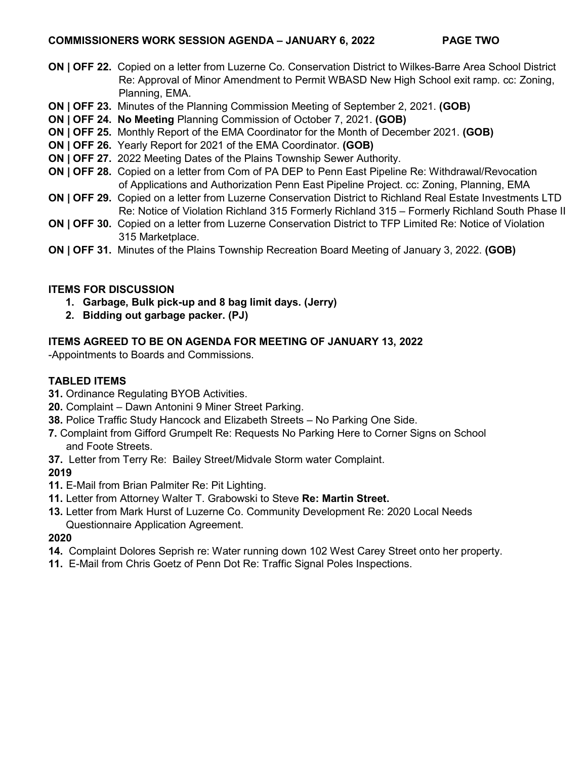### **COMMISSIONERS WORK SESSION AGENDA – JANUARY 6, 2022 PAGE TWO**

- **ON | OFF 22.** Copied on a letter from Luzerne Co. Conservation District to Wilkes-Barre Area School District Re: Approval of Minor Amendment to Permit WBASD New High School exit ramp. cc: Zoning, Planning, EMA.
- **ON | OFF 23.** Minutes of the Planning Commission Meeting of September 2, 2021. **(GOB)**
- **ON | OFF 24. No Meeting** Planning Commission of October 7, 2021. **(GOB)**
- **ON | OFF 25.** Monthly Report of the EMA Coordinator for the Month of December 2021. **(GOB)**
- **ON | OFF 26.** Yearly Report for 2021 of the EMA Coordinator. **(GOB)**
- **ON | OFF 27.** 2022 Meeting Dates of the Plains Township Sewer Authority.
- **ON | OFF 28.** Copied on a letter from Com of PA DEP to Penn East Pipeline Re: Withdrawal/Revocation of Applications and Authorization Penn East Pipeline Project. cc: Zoning, Planning, EMA
- **ON | OFF 29.** Copied on a letter from Luzerne Conservation District to Richland Real Estate Investments LTD Re: Notice of Violation Richland 315 Formerly Richland 315 – Formerly Richland South Phase II
- **ON | OFF 30.** Copied on a letter from Luzerne Conservation District to TFP Limited Re: Notice of Violation 315 Marketplace.
- **ON | OFF 31.** Minutes of the Plains Township Recreation Board Meeting of January 3, 2022. **(GOB)**

## **ITEMS FOR DISCUSSION**

- **1. Garbage, Bulk pick-up and 8 bag limit days. (Jerry)**
- **2. Bidding out garbage packer. (PJ)**

# **ITEMS AGREED TO BE ON AGENDA FOR MEETING OF JANUARY 13, 2022**

-Appointments to Boards and Commissions.

# **TABLED ITEMS**

- **31.** Ordinance Regulating BYOB Activities.
- **20.** Complaint Dawn Antonini 9 Miner Street Parking.
- **38.** Police Traffic Study Hancock and Elizabeth Streets No Parking One Side.
- **7.** Complaint from Gifford Grumpelt Re: Requests No Parking Here to Corner Signs on School and Foote Streets.
- **37.** Letter from Terry Re: Bailey Street/Midvale Storm water Complaint.

## **2019**

- **11.** E-Mail from Brian Palmiter Re: Pit Lighting.
- **11.** Letter from Attorney Walter T. Grabowski to Steve **Re: Martin Street.**
- **13.** Letter from Mark Hurst of Luzerne Co. Community Development Re: 2020 Local Needs Questionnaire Application Agreement.

## **2020**

- **14.** Complaint Dolores Seprish re: Water running down 102 West Carey Street onto her property.
- **11.** E-Mail from Chris Goetz of Penn Dot Re: Traffic Signal Poles Inspections.